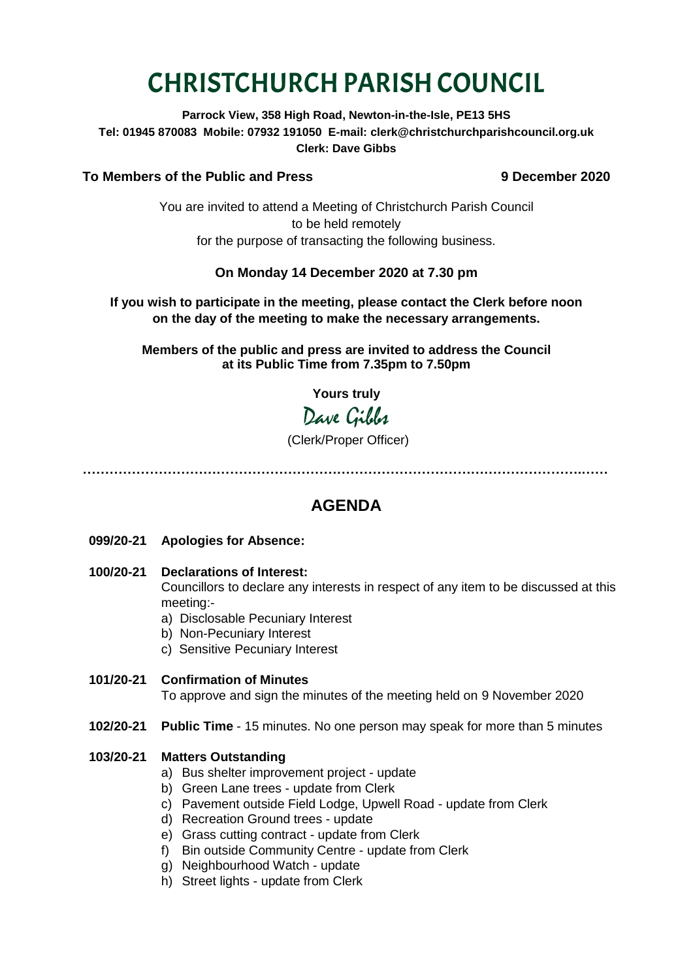# CHRISTCHURCH PARISH COUNCIL

**Parrock View, 358 High Road, Newton-in-the-Isle, PE13 5HS Tel: 01945 870083 Mobile: 07932 191050 E-mail: clerk@christchurchparishcouncil.org.uk Clerk: Dave Gibbs**

#### **To Members of the Public and Press 9 December 2020**

You are invited to attend a Meeting of Christchurch Parish Council to be held remotely for the purpose of transacting the following business.

#### **On Monday 14 December 2020 at 7.30 pm**

#### **If you wish to participate in the meeting, please contact the Clerk before noon on the day of the meeting to make the necessary arrangements.**

**Members of the public and press are invited to address the Council at its Public Time from 7.35pm to 7.50pm**

**Yours truly**

## Dave Gibbs

(Clerk/Proper Officer)

**………………………………………………………………………………………………….……**

### **AGENDA**

- **099/20-21 Apologies for Absence:**
- **100/20-21 Declarations of Interest:**

Councillors to declare any interests in respect of any item to be discussed at this meeting:-

- a) Disclosable Pecuniary Interest
- b) Non-Pecuniary Interest
- c) Sensitive Pecuniary Interest
- **101/20-21 Confirmation of Minutes**

To approve and sign the minutes of the meeting held on 9 November 2020

**102/20-21 Public Time** - 15 minutes. No one person may speak for more than 5 minutes

#### **103/20-21 Matters Outstanding**

- a) Bus shelter improvement project update
- b) Green Lane trees update from Clerk
- c) Pavement outside Field Lodge, Upwell Road update from Clerk
- d) Recreation Ground trees update
- e) Grass cutting contract update from Clerk
- f) Bin outside Community Centre update from Clerk
- g) Neighbourhood Watch update
- h) Street lights update from Clerk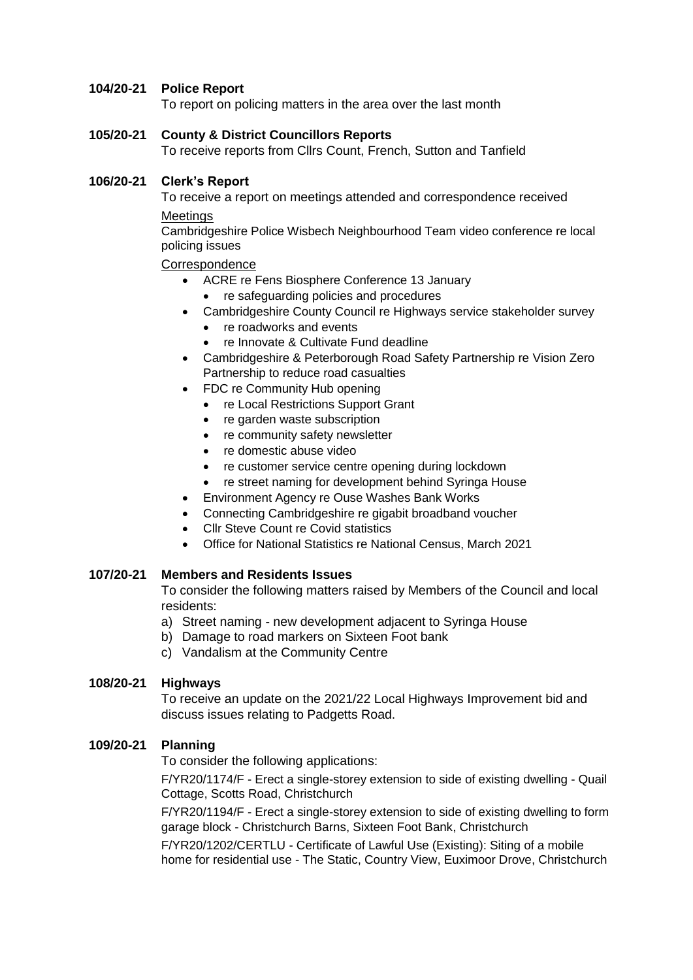#### **104/20-21 Police Report**

To report on policing matters in the area over the last month

#### **105/20-21 County & District Councillors Reports**

To receive reports from Cllrs Count, French, Sutton and Tanfield

#### **106/20-21 Clerk's Report**

To receive a report on meetings attended and correspondence received **Meetings** 

Cambridgeshire Police Wisbech Neighbourhood Team video conference re local policing issues

#### **Correspondence**

- ACRE re Fens Biosphere Conference 13 January
	- re safeguarding policies and procedures
- Cambridgeshire County Council re Highways service stakeholder survey
	- re roadworks and events
	- re Innovate & Cultivate Fund deadline
- Cambridgeshire & Peterborough Road Safety Partnership re Vision Zero Partnership to reduce road casualties
- FDC re Community Hub opening
	- re Local Restrictions Support Grant
	- re garden waste subscription
	- re community safety newsletter
	- re domestic abuse video
	- re customer service centre opening during lockdown
	- re street naming for development behind Syringa House
- **Environment Agency re Ouse Washes Bank Works**
- Connecting Cambridgeshire re gigabit broadband voucher
- Cllr Steve Count re Covid statistics
- Office for National Statistics re National Census, March 2021

#### **107/20-21 Members and Residents Issues**

To consider the following matters raised by Members of the Council and local residents:

- a) Street naming new development adjacent to Syringa House
- b) Damage to road markers on Sixteen Foot bank
- c) Vandalism at the Community Centre

#### **108/20-21 Highways**

To receive an update on the 2021/22 Local Highways Improvement bid and discuss issues relating to Padgetts Road.

#### **109/20-21 Planning**

To consider the following applications:

F/YR20/1174/F - Erect a single-storey extension to side of existing dwelling - Quail Cottage, Scotts Road, Christchurch

F/YR20/1194/F - Erect a single-storey extension to side of existing dwelling to form garage block - Christchurch Barns, Sixteen Foot Bank, Christchurch

F/YR20/1202/CERTLU - Certificate of Lawful Use (Existing): Siting of a mobile home for residential use - The Static, Country View, Euximoor Drove, Christchurch